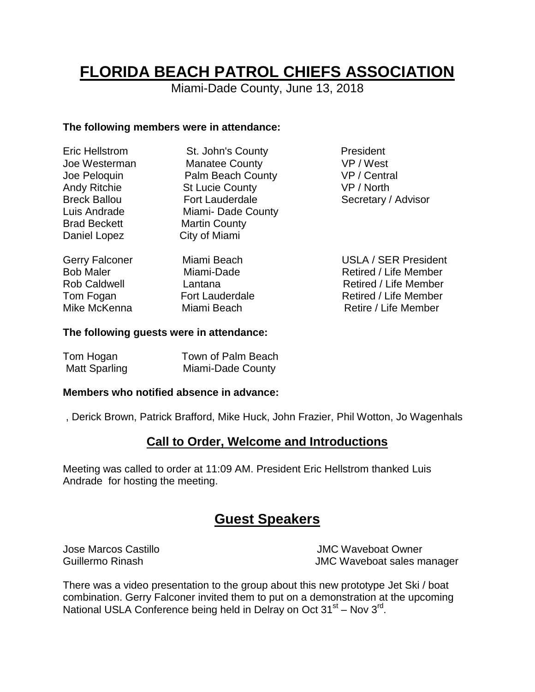# **FLORIDA BEACH PATROL CHIEFS ASSOCIATION**

Miami-Dade County, June 13, 2018

#### **The following members were in attendance:**

| <b>Eric Hellstrom</b>                                            | St. John's County                     | President                                                                     |
|------------------------------------------------------------------|---------------------------------------|-------------------------------------------------------------------------------|
| Joe Westerman                                                    | <b>Manatee County</b>                 | VP / West                                                                     |
| Joe Peloquin                                                     | Palm Beach County                     | VP / Central                                                                  |
| <b>Andy Ritchie</b>                                              | <b>St Lucie County</b>                | VP / North                                                                    |
| <b>Breck Ballou</b>                                              | <b>Fort Lauderdale</b>                | Secretary / Advisor                                                           |
| Luis Andrade                                                     | Miami-Dade County                     |                                                                               |
| <b>Brad Beckett</b>                                              | <b>Martin County</b>                  |                                                                               |
| Daniel Lopez                                                     | City of Miami                         |                                                                               |
| <b>Gerry Falconer</b><br><b>Bob Maler</b><br><b>Rob Caldwell</b> | Miami Beach<br>Miami-Dade<br>Lantana  | <b>USLA / SER President</b><br>Retired / Life Member<br>Retired / Life Member |
| Tom Fogan<br>Mike McKenna                                        | <b>Fort Lauderdale</b><br>Miami Beach | Retired / Life Member<br>Retire / Life Member                                 |

#### **The following guests were in attendance:**

| Tom Hogan     | Town of Palm Beach |
|---------------|--------------------|
| Matt Sparling | Miami-Dade County  |

#### **Members who notified absence in advance:**

, Derick Brown, Patrick Brafford, Mike Huck, John Frazier, Phil Wotton, Jo Wagenhals

### **Call to Order, Welcome and Introductions**

Meeting was called to order at 11:09 AM. President Eric Hellstrom thanked Luis Andrade for hosting the meeting.

# **Guest Speakers**

Jose Marcos Castillo JMC Waveboat Owner Guillermo Rinash Guillermo Rinash **JMC** Waveboat sales manager

There was a video presentation to the group about this new prototype Jet Ski / boat combination. Gerry Falconer invited them to put on a demonstration at the upcoming National USLA Conference being held in Delray on Oct 31<sup>st</sup> - Nov 3<sup>rd</sup>.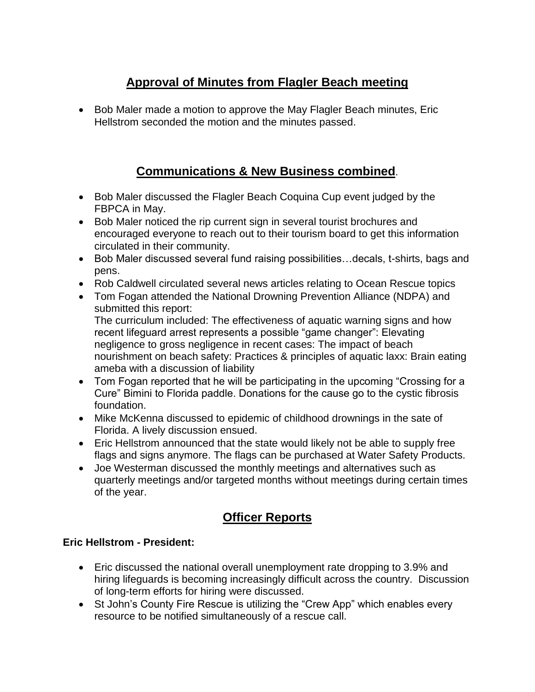# **Approval of Minutes from Flagler Beach meeting**

 Bob Maler made a motion to approve the May Flagler Beach minutes, Eric Hellstrom seconded the motion and the minutes passed.

# **Communications & New Business combined**.

- Bob Maler discussed the Flagler Beach Coquina Cup event judged by the FBPCA in May.
- Bob Maler noticed the rip current sign in several tourist brochures and encouraged everyone to reach out to their tourism board to get this information circulated in their community.
- Bob Maler discussed several fund raising possibilities...decals, t-shirts, bags and pens.
- Rob Caldwell circulated several news articles relating to Ocean Rescue topics
- Tom Fogan attended the National Drowning Prevention Alliance (NDPA) and submitted this report: The curriculum included: The effectiveness of aquatic warning signs and how recent lifeguard arrest represents a possible "game changer": Elevating

negligence to gross negligence in recent cases: The impact of beach nourishment on beach safety: Practices & principles of aquatic laxx: Brain eating ameba with a discussion of liability

- Tom Fogan reported that he will be participating in the upcoming "Crossing for a Cure" Bimini to Florida paddle. Donations for the cause go to the cystic fibrosis foundation.
- Mike McKenna discussed to epidemic of childhood drownings in the sate of Florida. A lively discussion ensued.
- Eric Hellstrom announced that the state would likely not be able to supply free flags and signs anymore. The flags can be purchased at Water Safety Products.
- Joe Westerman discussed the monthly meetings and alternatives such as quarterly meetings and/or targeted months without meetings during certain times of the year.

# **Officer Reports**

### **Eric Hellstrom - President:**

- Eric discussed the national overall unemployment rate dropping to 3.9% and hiring lifeguards is becoming increasingly difficult across the country. Discussion of long-term efforts for hiring were discussed.
- St John's County Fire Rescue is utilizing the "Crew App" which enables every resource to be notified simultaneously of a rescue call.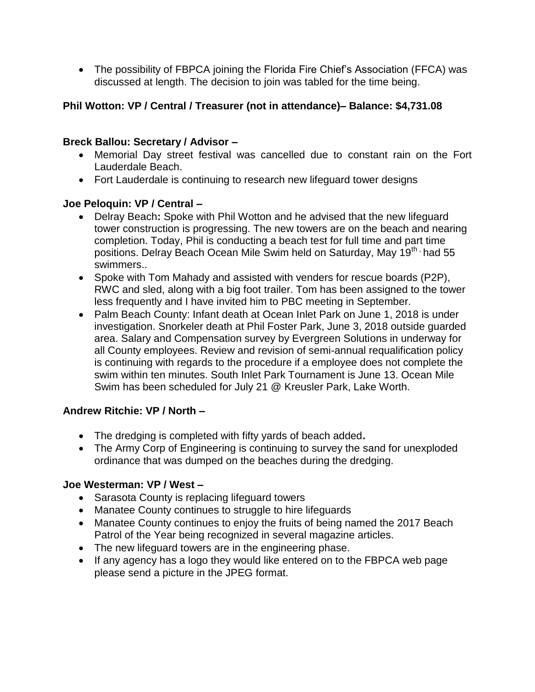• The possibility of FBPCA joining the Florida Fire Chief's Association (FFCA) was discussed at length. The decision to join was tabled for the time being.

### **Phil Wotton: VP / Central / Treasurer (not in attendance)– Balance: \$4,731.08**

#### **Breck Ballou: Secretary / Advisor –**

- Memorial Day street festival was cancelled due to constant rain on the Fort Lauderdale Beach.
- Fort Lauderdale is continuing to research new lifeguard tower designs

#### **Joe Peloquin: VP / Central –**

- Delray Beach**:** Spoke with Phil Wotton and he advised that the new lifeguard tower construction is progressing. The new towers are on the beach and nearing completion. Today, Phil is conducting a beach test for full time and part time positions. Delray Beach Ocean Mile Swim held on Saturday, May 19<sup>th,</sup> had 55 swimmers..
- Spoke with Tom Mahady and assisted with venders for rescue boards (P2P), RWC and sled, along with a big foot trailer. Tom has been assigned to the tower less frequently and I have invited him to PBC meeting in September.
- Palm Beach County: Infant death at Ocean Inlet Park on June 1, 2018 is under investigation. Snorkeler death at Phil Foster Park, June 3, 2018 outside guarded area. Salary and Compensation survey by Evergreen Solutions in underway for all County employees. Review and revision of semi-annual requalification policy is continuing with regards to the procedure if a employee does not complete the swim within ten minutes. South Inlet Park Tournament is June 13. Ocean Mile Swim has been scheduled for July 21 @ Kreusler Park, Lake Worth.

#### **Andrew Ritchie: VP / North –**

- The dredging is completed with fifty yards of beach added**.**
- The Army Corp of Engineering is continuing to survey the sand for unexploded ordinance that was dumped on the beaches during the dredging.

#### **Joe Westerman: VP / West –**

- Sarasota County is replacing lifeguard towers
- Manatee County continues to struggle to hire lifeguards
- Manatee County continues to enjoy the fruits of being named the 2017 Beach Patrol of the Year being recognized in several magazine articles.
- The new lifeguard towers are in the engineering phase.
- If any agency has a logo they would like entered on to the FBPCA web page please send a picture in the JPEG format.